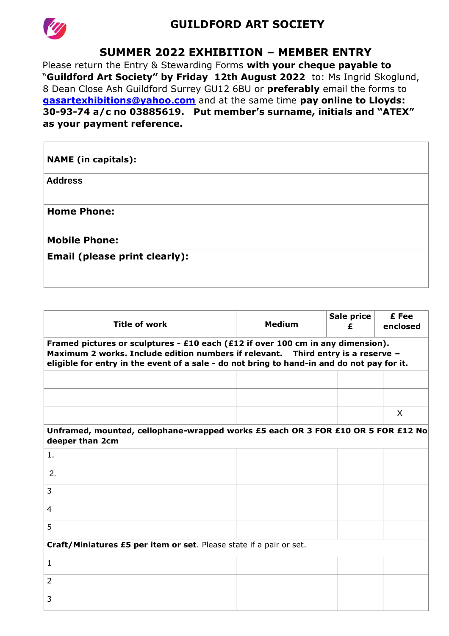

## **GUILDFORD ART SOCIETY**

### **SUMMER 2022 EXHIBITION – MEMBER ENTRY**

Please return the Entry & Stewarding Forms **with your cheque payable to**  "**Guildford Art Society" by Friday 12th August 2022** to: Ms Ingrid Skoglund, 8 Dean Close Ash Guildford Surrey GU12 6BU or **preferably** email the forms to **gasartexhibitions@yahoo.com** and at the same time **pay online to Lloyds: 30-93-74 a/c no 03885619. Put member's surname, initials and "ATEX" as your payment reference.**

| <b>NAME</b> (in capitals):           |  |
|--------------------------------------|--|
| <b>Address</b>                       |  |
| <b>Home Phone:</b>                   |  |
| <b>Mobile Phone:</b>                 |  |
| <b>Email (please print clearly):</b> |  |
|                                      |  |

| <b>Title of work</b>                                                                                                                                                                                                                                              | <b>Medium</b> | Sale price<br>£ | £ Fee<br>enclosed |  |  |  |  |  |  |  |
|-------------------------------------------------------------------------------------------------------------------------------------------------------------------------------------------------------------------------------------------------------------------|---------------|-----------------|-------------------|--|--|--|--|--|--|--|
| Framed pictures or sculptures - £10 each (£12 if over 100 cm in any dimension).<br>Maximum 2 works. Include edition numbers if relevant. Third entry is a reserve -<br>eligible for entry in the event of a sale - do not bring to hand-in and do not pay for it. |               |                 |                   |  |  |  |  |  |  |  |
|                                                                                                                                                                                                                                                                   |               |                 |                   |  |  |  |  |  |  |  |
|                                                                                                                                                                                                                                                                   |               |                 |                   |  |  |  |  |  |  |  |
| Unframed, mounted, cellophane-wrapped works £5 each OR 3 FOR £10 OR 5 FOR £12 No                                                                                                                                                                                  |               |                 | X                 |  |  |  |  |  |  |  |
| deeper than 2cm                                                                                                                                                                                                                                                   |               |                 |                   |  |  |  |  |  |  |  |
| 1.                                                                                                                                                                                                                                                                |               |                 |                   |  |  |  |  |  |  |  |
| 2.                                                                                                                                                                                                                                                                |               |                 |                   |  |  |  |  |  |  |  |
| 3                                                                                                                                                                                                                                                                 |               |                 |                   |  |  |  |  |  |  |  |
| 4                                                                                                                                                                                                                                                                 |               |                 |                   |  |  |  |  |  |  |  |
| 5                                                                                                                                                                                                                                                                 |               |                 |                   |  |  |  |  |  |  |  |
| Craft/Miniatures £5 per item or set. Please state if a pair or set.                                                                                                                                                                                               |               |                 |                   |  |  |  |  |  |  |  |
| $\mathbf{1}$                                                                                                                                                                                                                                                      |               |                 |                   |  |  |  |  |  |  |  |
| $\overline{2}$                                                                                                                                                                                                                                                    |               |                 |                   |  |  |  |  |  |  |  |
| 3                                                                                                                                                                                                                                                                 |               |                 |                   |  |  |  |  |  |  |  |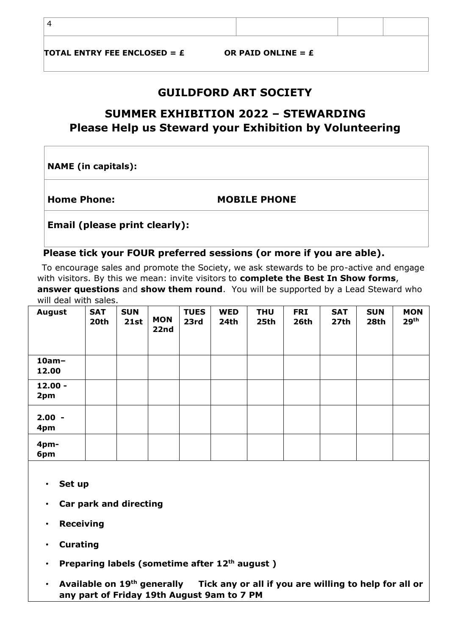4

TOTAL ENTRY FEE ENCLOSED =  $\boldsymbol{\epsilon}$   $\boldsymbol{\delta}$  OR PAID ONLINE =  $\boldsymbol{\epsilon}$ 

### **GUILDFORD ART SOCIETY**

# **SUMMER EXHIBITION 2022 – STEWARDING Please Help us Steward your Exhibition by Volunteering**

**NAME (in capitals):** 

**Home Phone: MOBILE PHONE** 

**Email (please print clearly):** 

#### **Please tick your FOUR preferred sessions (or more if you are able).**

To encourage sales and promote the Society, we ask stewards to be pro-active and engage with visitors. By this we mean: invite visitors to **complete the Best In Show forms**, **answer questions** and **show them round**. You will be supported by a Lead Steward who will deal with sales.

| <b>August</b>     | <b>SAT</b><br>20th | <b>SUN</b><br>21st | <b>MON</b><br>22nd | <b>TUES</b><br>23rd | <b>WED</b><br>24th | <b>THU</b><br>25th | <b>FRI</b><br>26th | <b>SAT</b><br>27th | <b>SUN</b><br>28th | <b>MON</b><br>29 <sup>th</sup> |
|-------------------|--------------------|--------------------|--------------------|---------------------|--------------------|--------------------|--------------------|--------------------|--------------------|--------------------------------|
| $10am -$<br>12.00 |                    |                    |                    |                     |                    |                    |                    |                    |                    |                                |
| $12.00 -$<br>2pm  |                    |                    |                    |                     |                    |                    |                    |                    |                    |                                |
| $2.00 -$<br>4pm   |                    |                    |                    |                     |                    |                    |                    |                    |                    |                                |
| 4pm-<br>6pm       |                    |                    |                    |                     |                    |                    |                    |                    |                    |                                |

- **Set up**
- **Car park and directing**
- **Receiving**
- **Curating**
- **Preparing labels (sometime after 12th august )**
- **Available on 19th generally Tick any or all if you are willing to help for all or any part of Friday 19th August 9am to 7 PM**